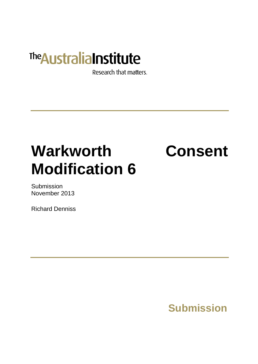## **The Australia Institute**

Research that matters.

# **Warkworth Consent Modification 6**

Submission November 2013

Richard Denniss

## **Submission**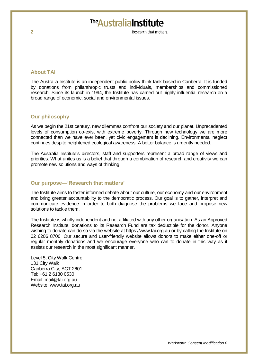### The Australia Institute

Research that matters

#### **About TAI**

The Australia Institute is an independent public policy think tank based in Canberra. It is funded by donations from philanthropic trusts and individuals, memberships and commissioned research. Since its launch in 1994, the Institute has carried out highly influential research on a broad range of economic, social and environmental issues.

#### **Our philosophy**

As we begin the 21st century, new dilemmas confront our society and our planet. Unprecedented levels of consumption co-exist with extreme poverty. Through new technology we are more connected than we have ever been, yet civic engagement is declining. Environmental neglect continues despite heightened ecological awareness. A better balance is urgently needed.

The Australia Institute's directors, staff and supporters represent a broad range of views and priorities. What unites us is a belief that through a combination of research and creativity we can promote new solutions and ways of thinking.

#### **Our purpose—'Research that matters'**

The Institute aims to foster informed debate about our culture, our economy and our environment and bring greater accountability to the democratic process. Our goal is to gather, interpret and communicate evidence in order to both diagnose the problems we face and propose new solutions to tackle them.

The Institute is wholly independent and not affiliated with any other organisation. As an Approved Research Institute, donations to its Research Fund are tax deductible for the donor. Anyone wishing to donate can do so via the website at https://www.tai.org.au or by calling the Institute on 02 6206 8700. Our secure and user-friendly website allows donors to make either one-off or regular monthly donations and we encourage everyone who can to donate in this way as it assists our research in the most significant manner.

Level 5, City Walk Centre 131 City Walk Canberra City, ACT 2601 Tel: +61 2 6130 0530 Email: mail@tai.org.au Website: www.tai.org.au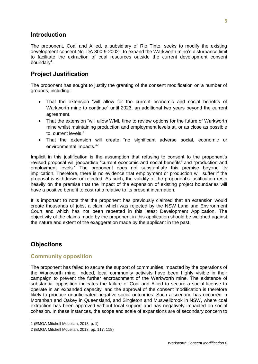#### **Introduction**

The proponent, Coal and Allied, a subsidiary of Rio Tinto, seeks to modify the existing development consent No. DA 300-9-2002-I to expand the Warkworth mine's disturbance limit to facilitate the extraction of coal resources outside the current development consent boundary<sup>1</sup>.

#### **Project Justification**

The proponent has sought to justify the granting of the consent modification on a number of grounds, including:

- That the extension "will allow for the current economic and social benefits of Warkworth mine to continue" until 2023, an additional two years beyond the current agreement.
- That the extension "will allow WML time to review options for the future of Warkworth mine whilst maintaining production and employment levels at, or as close as possible to, current levels."
- That the extension will create "no significant adverse social, economic or environmental impacts."<sup>2</sup>

Implicit in this justification is the assumption that refusing to consent to the proponent's revised proposal will jeopardise "current economic and social benefits" and "production and employment levels." The proponent does not substantiate this premise beyond its implication. Therefore, there is no evidence that employment or production will suffer if the proposal is withdrawn or rejected. As such, the validity of the proponent's justification rests heavily on the premise that the impact of the expansion of existing project boundaries will have a positive benefit to cost ratio relative to its present incarnation.

It is important to note that the proponent has previously claimed that an extension would create thousands of jobs, a claim which was rejected by the NSW Land and Environment Court and which has not been repeated in this latest Development Application. The objectivity of the claims made by the proponent in this application should be weighed against the nature and extent of the exaggeration made by the applicant in the past.

#### **Objections**

#### **Community opposition**

The proponent has failed to secure the support of communities impacted by the operations of the Warkworth mine. Indeed, local community activists have been highly visible in their campaign to prevent the further encroachment of the Warkworth mine. The existence of substantial opposition indicates the failure of Coal and Allied to secure a social license to operate in an expanded capacity, and the approval of the consent modification is therefore likely to produce unanticipated negative social outcomes. Such a scenario has occurred in Moranbah and Oakey in Queensland, and Singleton and Muswellbrook in NSW, where coal extraction has been approved without local support and has negatively impacted on social cohesion. In these instances, the scope and scale of expansions are of secondary concern to

<sup>1</sup> (EMGA Mitchell McLellan, 2013, p. 1)

<sup>2</sup> (EMGA Mitchell McLellan, 2013, pp. 117, 118)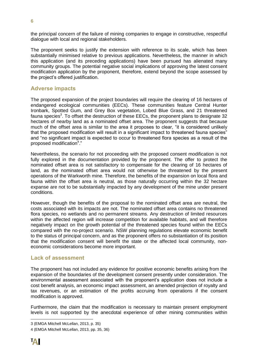the principal concern of the failure of mining companies to engage in constructive, respectful dialogue with local and regional stakeholders.

The proponent seeks to justify the extension with reference to its scale, which has been substantially minimised relative to previous applications. Nevertheless, the manner in which this application (and its preceding applications) have been pursued has alienated many community groups. The potential negative social implications of approving the latest consent modification application by the proponent, therefore, extend beyond the scope assessed by the project's offered justification.

#### **Adverse impacts**

The proposed expansion of the project boundaries will require the clearing of 16 hectares of endangered ecological communities (EECs). These communities feature Central Hunter Ironbark, Spotted Gum, and Grey Box vegetation, Lobed Blue Grass, and 21 threatened fauna species<sup>3</sup>. To offset the destruction of these EECs, the proponent plans to designate 32 hectares of nearby land as a nominated offset area. The proponent suggests that because much of the offset area is similar to the area it proposes to clear, "it is considered unlikely that the proposed modification will result in a significant impact to threatened fauna species" and "no significant impact is expected to occur to threatened flora species as a result of the proposed modification<sup>4</sup>."

Nevertheless, the scenario for not proceeding with the proposed consent modification is not fully explored in the documentation provided by the proponent. The offer to protect the nominated offset area is not satisfactory to compensate for the clearing of 16 hectares of land, as the nominated offset area would not otherwise be threatened by the present operations of the Warkworth mine. Therefore, the benefits of the expansion on local flora and fauna within the offset area is neutral, as those naturally occurring within the 32 hectare expanse are not to be substantially impacted by any development of the mine under present conditions.

However, though the benefits of the proposal to the nominated offset area are neutral, the costs associated with its impacts are not. The nominated offset area contains no threatened flora species, no wetlands and no permanent streams. Any destruction of limited resources within the affected region will increase competition for available habitats, and will therefore negatively impact on the growth potential of the threatened species found within the EECs compared with the no-project scenario. NSW planning regulations elevate economic benefit to the status of principal concern, and as the proponent offers no substantiation of its position that the modification consent will benefit the state or the affected local community, noneconomic considerations become more important.

#### **Lack of assessment**

The proponent has not included any evidence for positive economic benefits arising from the expansion of the boundaries of the development consent presently under consideration. The environmental assessment associated with the proponent's application does not include a cost benefit analysis, an economic impact assessment, an amended projection of royalty and tax revenues, or an estimation of the profits accruing from operations if the consent modification is approved.

Furthermore, the claim that the modification is necessary to maintain present employment levels is not supported by the anecdotal experience of other mining communities within

<sup>3</sup> (EMGA Mitchell McLellan, 2013, p. 35)

<sup>4</sup> (EMGA Mitchell McLellan, 2013, pp. 35, 36)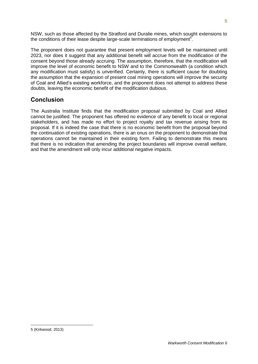NSW, such as those affected by the Stratford and Duralie mines, which sought extensions to the conditions of their lease despite large-scale terminations of employment<sup>5</sup>.

The proponent does not quarantee that present employment levels will be maintained until 2023, nor does it suggest that any additional benefit will accrue from the modification of the consent beyond those already accruing. The assumption, therefore, that the modification will improve the level of economic benefit to NSW and to the Commonwealth (a condition which any modification must satisfy) is unverified. Certainly, there is sufficient cause for doubting the assumption that the expansion of present coal mining operations will improve the security of Coal and Allied's existing workforce, and the proponent does not attempt to address these doubts, leaving the economic benefit of the modification dubious.

### **Conclusion**

The Australia Institute finds that the modification proposal submitted by Coal and Allied cannot be justified. The proponent has offered no evidence of any benefit to local or regional stakeholders, and has made no effort to project royalty and tax revenue arising from its proposal. If it is indeed the case that there is no economic benefit from the proposal beyond the continuation of existing operations, there is an onus on the proponent to demonstrate that operations cannot be maintained in their existing form. Failing to demonstrate this means that there is no indication that amending the project boundaries will improve overall welfare, and that the amendment will only incur additional negative impacts.

<sup>5</sup> (Kirkwood, 2013)